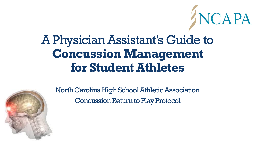# A Physician Assistant's Guide to **Concussion Management for Student Athletes**

NCAPA



North Carolina High School Athletic Association Concussion Return to Play Protocol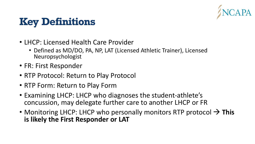

#### **Key Definitions**

- LHCP: Licensed Health Care Provider
	- Defined as MD/DO, PA, NP, LAT (Licensed Athletic Trainer), Licensed Neuropsychologist
- FR: First Responder
- RTP Protocol: Return to Play Protocol
- RTP Form: Return to Play Form
- Examining LHCP: LHCP who diagnoses the student-athlete's concussion, may delegate further care to another LHCP or FR
- Monitoring LHCP: LHCP who personally monitors RTP protocol → **This is likely the First Responder or LAT**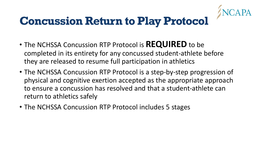

# **Concussion Return to Play Protocol**

- The NCHSSA Concussion RTP Protocol is **REQUIRED** to be completed in its entirety for any concussed student-athlete before they are released to resume full participation in athletics
- The NCHSSA Concussion RTP Protocol is a step-by-step progression of physical and cognitive exertion accepted as the appropriate approach to ensure a concussion has resolved and that a student-athlete can return to athletics safely
- The NCHSSA Concussion RTP Protocol includes 5 stages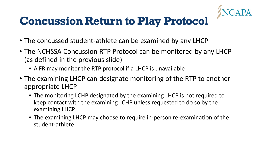

# **Concussion Return to Play Protocol**

- The concussed student-athlete can be examined by any LHCP
- The NCHSSA Concussion RTP Protocol can be monitored by any LHCP (as defined in the previous slide)
	- A FR may monitor the RTP protocol if a LHCP is unavailable
- The examining LHCP can designate monitoring of the RTP to another appropriate LHCP
	- The monitoring LCHP designated by the examining LHCP is not required to keep contact with the examining LCHP unless requested to do so by the examining LHCP
	- The examining LHCP may choose to require in-person re-examination of the student-athlete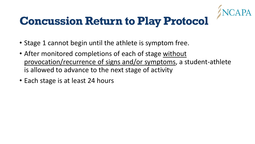

#### **Concussion Return to Play Protocol**

- Stage 1 cannot begin until the athlete is symptom free.
- After monitored completions of each of stage without provocation/recurrence of signs and/or symptoms, a student-athlete is allowed to advance to the next stage of activity
- Each stage is at least 24 hours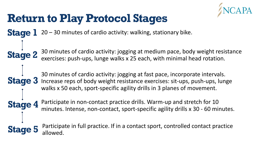

#### **Return to Play Protocol Stages**

**Stage 4**

**Stage 1** 20 – 30 minutes of cardio activity: walking, stationary bike.

**Stage 2** 30 minutes of cardio activity: jogging at medium pace, body weight resistance exercises: push-ups, lunge walks x 25 each, with minimal head rotation.

**Stage 3** Increase reps of body weight resistance exercises: sit-ups, push-ups, lunge 30 minutes of cardio activity: jogging at fast pace, incorporate intervals. walks x 50 each, sport-specific agility drills in 3 planes of movement.

> Participate in non-contact practice drills. Warm-up and stretch for 10 minutes. Intense, non-contact, sport-specific agility drills x 30 - 60 minutes.

**Stage 5** Participate in full practice. If in a contact sport, controlled contact practice llowed.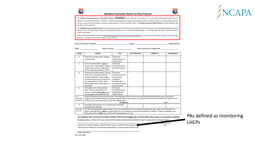

#### **NCHSAA Concussion Return to Play Protocol**

CHSA Ŧ



\*The NCHSAA Concussion Return to Play (RTP) Protocol is REQUIRED to be completed in its entirety for any concussed student-athlete before they are released to resume full participation in athletics. A step-by-step progression of physical and cognitive exertion is widely accepted as the appropriate approach to ensure a concussion has resolved, and that a student-athlete can return to athletics safely. The NCHSAA Concussion (RTP) Protocol has been designed using this step-by-step progression.

\*The NCHSAA Concussion (RTP) Protocol can be monitored by any of the following Licensed Health Care Providers (LHCP): Licensed Physician (MD/DO), Licensed Athletic Trainer, Licensed Physician Assistant, Licensed Nurse Practitioner, or a Licensed Neuropsychologist. A First Responder may monitor the RTP Protocol if a LHCP is unavailable.

\*After monitored completion of each stage without provocation/recurrence of signs and/or symptoms, a student-athlete is allowed to advance to the next stage of activity. The length of time for each stage is at least 24 hours.

Name of Student-Athlete: Sport: Sport:

Male/Female

**Date Concussion Diagnosed:** 

| <b>STAGE</b>                         | <b>EXERCISE</b>                                                                                                                                                                                                                                                                                                                                                                     | <b>GOAL</b>                                                                                                              | <b>DATE COMPLETED</b> | <b>COMMENTS</b> | <b>MONITORED BY</b> |
|--------------------------------------|-------------------------------------------------------------------------------------------------------------------------------------------------------------------------------------------------------------------------------------------------------------------------------------------------------------------------------------------------------------------------------------|--------------------------------------------------------------------------------------------------------------------------|-----------------------|-----------------|---------------------|
| 1                                    | 20-30 min of cardio activity: walking,<br>stationary bike.                                                                                                                                                                                                                                                                                                                          | Perceived<br>intensity/exertion:<br><b>Light Activity</b>                                                                |                       |                 |                     |
| $\overline{a}$                       | 30 min of cardio activity: jogging at<br>medium pace. Body weight resistance<br>exercise (e.g. push-ups, lunge walks)<br>with minimal head rotation x 25 each.                                                                                                                                                                                                                      | Perceived<br>intensity/exertion:<br><b>Moderate Activity</b>                                                             |                       |                 |                     |
| 3                                    | 30 minutes of cardio activity: running<br>at fast pace, incorporate intervals.<br>Increase repetitions of body weight<br>resistance exercise (e.g. sit-ups, push-<br>ups, lunge walks) x 50 each. Sport-<br>specific agility drills in three planes of<br>movement.                                                                                                                 | Perceived<br>intensity/exertion:<br>Hard Activity,<br>changes of<br>direction with<br>increased head and<br>eve movement |                       |                 |                     |
| 4                                    | Participate in non-contact practice<br>drills. Warm-up and stretch x 10<br>minutes. Intense, non-contact, sport-<br>specific agility drills x 30-60 minutes.                                                                                                                                                                                                                        | Perceived<br>intensity/exertion:<br>High/Maximum<br><b>Effort Activity</b>                                               |                       |                 |                     |
| First<br>Responder<br>Verification   | If the RTP Protocol has been monitored by a First Responder (FR) then the FR must sign below attesting that they have reviewed the<br>progress of this student-athlete (S-A) through stage 4 electronically, by phone, or in person with the Licensed Health Care Provider (LHCP)<br>and that the S-A was cleared by the LHCP to complete stage 5.<br><b>FR Signature:</b><br>Date: |                                                                                                                          |                       |                 |                     |
| 5                                    | Participate in full practice. If in a contact sport, controlled<br>contact practice allowed.                                                                                                                                                                                                                                                                                        |                                                                                                                          |                       |                 |                     |
| <b>LHCP signs</b><br><b>RTP Form</b> | The LHCP overseeing the student-athlete's (S-A) care is notified that the S-A remained asymptomatic after stage 5 was completed. The<br>Return to Play (RTP) Form MUST be signed before the S-A is allowed to resume full participation in athletics. If signs or symptoms occur<br>after stage 5 the S-A MUST return to the LHCP overseeing the S-A's care.                        |                                                                                                                          |                       |                 |                     |

The individual who monitored the student-athlete's (RTP) Protocol MUST sign and date below when stage 5 is successfully completed.

By signing below, I attest that I have monitored the above named student-athlete's return to play protocol through stage 5,

Date

PAs defined as monitoring **LHCPs** 

Licensed Nurse Practitioner, Licensed Neuropsychologist, or First Responder (Please Circle)

Signature of Licensed Physician, Licensed Athletic Trainer, Licensed Physician Assistant,

**Please Print Name** Rev June 2018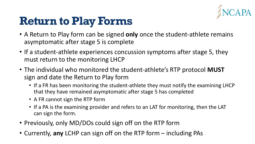

#### **Return to Play Forms**

- A Return to Play form can be signed **only** once the student-athlete remains asymptomatic after stage 5 is complete
- If a student-athlete experiences concussion symptoms after stage 5, they must return to the monitoring LHCP
- The individual who monitored the student-athlete's RTP protocol **MUST** sign and date the Return to Play form
	- If a FR has been monitoring the student-athlete they must notify the examining LHCP that they have remained asymptomatic after stage 5 has completed
	- A FR cannot sign the RTP form
	- If a PA is the examining provider and refers to an LAT for monitoring, then the LAT can sign the form.
- Previously, only MD/DOs could sign off on the RTP form
- Currently, **any** LCHP can sign off on the RTP form including PAs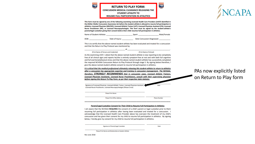**RETURN TO PLAY FORM: CONCUSSION MEDICAL CLEARANCE RELEASING THE STUDENT-ATHLETE TO RESUME FULL PARTICIPATION IN ATHLETICS** 



This form must be signed by one of the following examining Licensed Health Care Providers (LHCP) identified in the Gfeller-Waller Concussion Awareness Act before the student-athlete is allowed to resume full participation in athletics: Licensed Physician (MD/DO), Licensed Athletic Trainer (LAT), Licensed Physician Assistant (PA), Licensed Nurse Practitioner (NP), or Licensed Neuropsychologist. This form must be signed by the student-athlete's parent/legal custodian giving their consent before their child resumes full participation in athletics.

Name of Student-Athlete: Sport: Male/Female

DOB: Date of Injury: **Date Concussion Diagnosed:** 

This is to certify that the above-named student-athlete has been evaluated and treated for a concussion and that the Return to Play Protocol was monitored by: at

(Print Name of Person and Credential) (Print Name of School)

give the above-named student-athlete consent to resume full participation in athletics.

As the examining LHCP, I attest that the above-named student-athlete is now reporting to be completely free of all clinical signs and reports he/she is entirely symptom-free at rest and with both full cognitive and full exertional/physical stress and that the above-named student-athlete has successfully completed the required NCHSAA Concussion Return to Play Protocol through stage 5. By signing below therefore, I

It is critical that the medical professional ultimately releasing this student-athlete to return to athletics after a concussion has appropriate expertise and training in concussion management. The NCHSAA, therefore, STRONGLY RECOMMENDS that in concussion cases, Licensed Athletic Trainers, Licensed Physician Assistants, Licensed Nurse Practitioners, consult with their supervising physician before signing this Return To Play Form, as per their respective state statutes.

Signature of Licensed Physician, Licensed Athletic Trainer, Licensed Physician Assistant, Licensed Nurse Practitioner, Licensed Neuropsychologist (Please Circle)

**Please Print Name** 

**Please Print Office Address** 

#### Parent/Legal Custodian Consent for Their Child to Resume Full Participation in Athletics

I am aware that the NCHSAA REQUIRES the consent of a child's parent or legal custodian prior to them resuming full participation in athletics after having been evaluated and treated for a concussion. I acknowledge that the Licensed Health Care Provider above has overseen the treatment of my child's concussion and has given their consent for my child to resume full participation in athletics. By signing below, I hereby give my consent for my child to resume full participation in athletics.

Signature of Parent/Legal Custodian

**Phone Number** 

Please Print Name and Relationship to Student-Athlete

Rev June 2018

#### PAs now explicitly listed on Return to Play form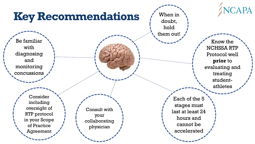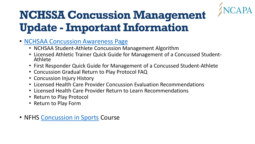

# **NCHSSA Concussion Management Update - Important Information**

- [NCHSAA Concussion Awareness Page](https://www.nchsaa.org/parents-students/health-safety/concussion-awareness)
	- NCHSAA Student-Athlete Concussion Management Algorithm
	- Licensed Athletic Trainer Quick Guide for Management of a Concussed Student-Athlete
	- First Responder Quick Guide for Management of a Concussed Student-Athlete
	- Concussion Gradual Return to Play Protocol FAQ
	- Concussion Injury History
	- Licensed Health Care Provider Concussion Evaluation Recommendations
	- Licensed Health Care Provider Return to Learn Recommendations
	- Return to Play Protocol
	- Return to Play Form
- NFHS [Concussion in Sports](https://nfhslearn.com/courses/61151/concussion-in-sports) Course